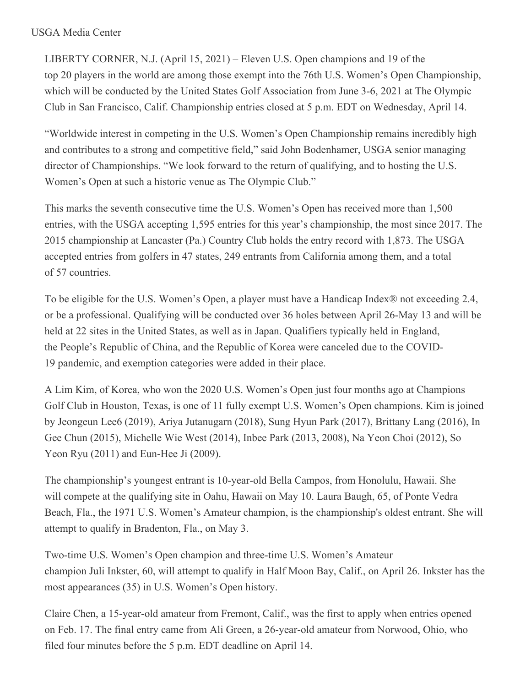## USGA Media Center

LIBERTY CORNER, N.J. (April 15, 2021) – Eleven U.S. Open champions and 19 of the top 20 players in the world are among those exempt into the 76th U.S. Women's Open Championship, which will be conducted by the United States Golf Association from June 3-6, 2021 at The Olympic Club in San Francisco, Calif. Championship entries closed at 5 p.m. EDT on Wednesday, April 14.

"Worldwide interest in competing in the U.S. Women's Open Championship remains incredibly high and contributes to a strong and competitive field," said John Bodenhamer, USGA senior managing director of Championships. "We look forward to the return of qualifying, and to hosting the U.S. Women's Open at such a historic venue as The Olympic Club."

This marks the seventh consecutive time the U.S. Women's Open has received more than 1,500 entries, with the USGA accepting 1,595 entries for this year's championship, the most since 2017. The 2015 championship at Lancaster (Pa.) Country Club holds the entry record with 1,873. The USGA accepted entries from golfers in 47 states, 249 entrants from California among them, and a total of 57 countries.

To be eligible for the U.S. Women's Open, a player must have a Handicap Index® not exceeding 2.4, or be a professional. Qualifying will be conducted over 36 holes between April 26-May 13 and will be held at 22 sites in the United States, as well as in Japan. Qualifiers typically held in England, the People's Republic of China, and the Republic of Korea were canceled due to the COVID-19 pandemic, and exemption categories were added in their place.

A Lim Kim, of Korea, who won the 2020 U.S. Women's Open just four months ago at Champions Golf Club in Houston, Texas, is one of 11 fully exempt U.S. Women's Open champions. Kim is joined by Jeongeun Lee6 (2019), Ariya Jutanugarn (2018), Sung Hyun Park (2017), Brittany Lang (2016), In Gee Chun (2015), Michelle Wie West (2014), Inbee Park (2013, 2008), Na Yeon Choi (2012), So Yeon Ryu (2011) and Eun-Hee Ji (2009).

The championship's youngest entrant is 10-year-old Bella Campos, from Honolulu, Hawaii. She will compete at the qualifying site in Oahu, Hawaii on May 10. Laura Baugh, 65, of Ponte Vedra Beach, Fla., the 1971 U.S. Women's Amateur champion, is the championship's oldest entrant. She will attempt to qualify in Bradenton, Fla., on May 3.

Two-time U.S. Women's Open champion and three-time U.S. Women's Amateur champion Juli Inkster, 60, will attempt to qualify in Half Moon Bay, Calif., on April 26. Inkster has the most appearances (35) in U.S. Women's Open history.

Claire Chen, a 15-year-old amateur from Fremont, Calif., was the first to apply when entries opened on Feb. 17. The final entry came from Ali Green, a 26-year-old amateur from Norwood, Ohio, who filed four minutes before the 5 p.m. EDT deadline on April 14.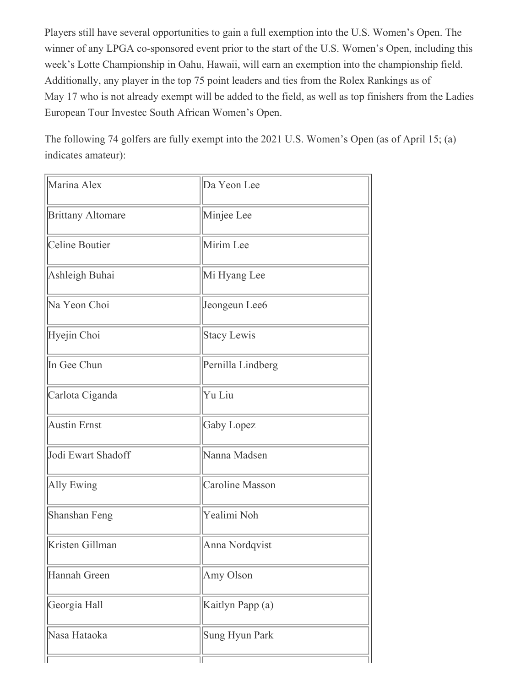Players still have several opportunities to gain a full exemption into the U.S. Women's Open. The winner of any LPGA co-sponsored event prior to the start of the U.S. Women's Open, including this week's Lotte Championship in Oahu, Hawaii, will earn an exemption into the championship field. Additionally, any player in the top 75 point leaders and ties from the Rolex Rankings as of May 17 who is not already exempt will be added to the field, as well as top finishers from the Ladies European Tour Investec South African Women's Open.

The following 74 golfers are fully exempt into the 2021 U.S. Women's Open (as of April 15; (a) indicates amateur):

| Marina Alex              | Da Yeon Lee            |
|--------------------------|------------------------|
| <b>Brittany Altomare</b> | Minjee Lee             |
| Celine Boutier           | Mirim Lee              |
| Ashleigh Buhai           | Mi Hyang Lee           |
| Na Yeon Choi             | Jeongeun Lee6          |
| Hyejin Choi              | <b>Stacy Lewis</b>     |
| In Gee Chun              | Pernilla Lindberg      |
| Carlota Ciganda          | Yu Liu                 |
| <b>Austin Ernst</b>      | Gaby Lopez             |
| Jodi Ewart Shadoff       | Nanna Madsen           |
| <b>Ally Ewing</b>        | <b>Caroline Masson</b> |
| Shanshan Feng            | Yealimi Noh            |
| Kristen Gillman          | Anna Nordqvist         |
| Hannah Green             | Amy Olson              |
| Georgia Hall             | Kaitlyn Papp (a)       |
| Nasa Hataoka             | Sung Hyun Park         |
|                          |                        |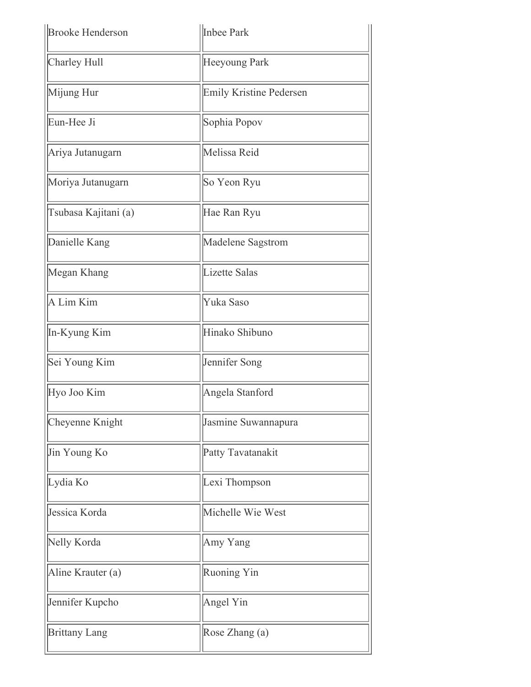| <b>Brooke Henderson</b> | Inbee Park                     |
|-------------------------|--------------------------------|
| Charley Hull            | Heeyoung Park                  |
| Mijung Hur              | <b>Emily Kristine Pedersen</b> |
| Eun-Hee Ji              | Sophia Popov                   |
| Ariya Jutanugarn        | Melissa Reid                   |
| Moriya Jutanugarn       | So Yeon Ryu                    |
| Tsubasa Kajitani (a)    | Hae Ran Ryu                    |
| Danielle Kang           | Madelene Sagstrom              |
| Megan Khang             | Lizette Salas                  |
| A Lim Kim               | Yuka Saso                      |
| In-Kyung Kim            | Hinako Shibuno                 |
| Sei Young Kim           | Jennifer Song                  |
| Hyo Joo Kim             | Angela Stanford                |
| Cheyenne Knight         | Jasmine Suwannapura            |
| Jin Young Ko            | Patty Tavatanakit              |
| Lydia Ko                | Lexi Thompson                  |
| Jessica Korda           | Michelle Wie West              |
| Nelly Korda             | Amy Yang                       |
| Aline Krauter (a)       | Ruoning Yin                    |
| Jennifer Kupcho         | Angel Yin                      |
| <b>Brittany Lang</b>    | Rose Zhang (a)                 |